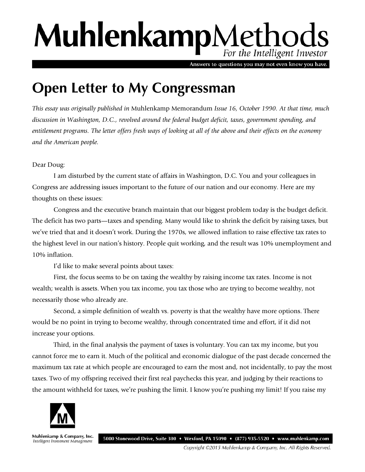## MuhlenkampMethods For the Intelligent Investor

Answers to questions you may not even know you have.

## **Open Letter to My Congressman**

*This essay was originally published in* Muhlenkamp Memorandum *Issue 16, October 1990. At that time, much discussion in Washington, D.C., revolved around the federal budget deficit, taxes, government spending, and entitlement programs. The letter offers fresh ways of looking at all of the above and their effects on the economy and the American people.* 

## Dear Doug:

I am disturbed by the current state of affairs in Washington, D.C. You and your colleagues in Congress are addressing issues important to the future of our nation and our economy. Here are my thoughts on these issues:

Congress and the executive branch maintain that our biggest problem today is the budget deficit. The deficit has two parts—taxes and spending. Many would like to shrink the deficit by raising taxes, but we've tried that and it doesn't work. During the 1970s, we allowed inflation to raise effective tax rates to the highest level in our nation's history. People quit working, and the result was 10% unemployment and 10% inflation.

I'd like to make several points about taxes:

First, the focus seems to be on taxing the wealthy by raising income tax rates. Income is not wealth; wealth is assets. When you tax income, you tax those who are trying to become wealthy, not necessarily those who already are.

Second, a simple definition of wealth vs. poverty is that the wealthy have more options. There would be no point in trying to become wealthy, through concentrated time and effort, if it did not increase your options.

Third, in the final analysis the payment of taxes is voluntary. You can tax my income, but you cannot force me to earn it. Much of the political and economic dialogue of the past decade concerned the maximum tax rate at which people are encouraged to earn the most and, not incidentally, to pay the most taxes. Two of my offspring received their first real paychecks this year, and judging by their reactions to the amount withheld for taxes, we're pushing the limit. I know you're pushing my limit! If you raise my



Muhlenkamp & Company, Inc. Intelligent Investment Management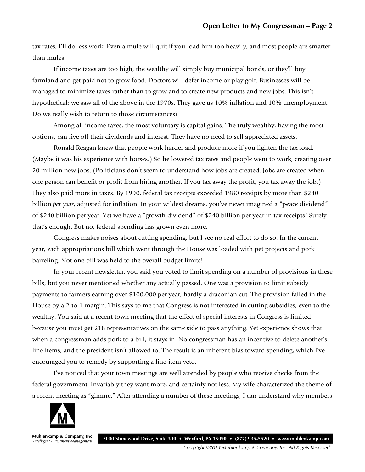tax rates, I'll do less work. Even a mule will quit if you load him too heavily, and most people are smarter than mules.

If income taxes are too high, the wealthy will simply buy municipal bonds, or they'll buy farmland and get paid not to grow food. Doctors will defer income or play golf. Businesses will be managed to minimize taxes rather than to grow and to create new products and new jobs. This isn't hypothetical; we saw all of the above in the 1970s. They gave us 10% inflation and 10% unemployment. Do we really wish to return to those circumstances?

Among all income taxes, the most voluntary is capital gains. The truly wealthy, having the most options, can live off their dividends and interest. They have no need to sell appreciated assets.

Ronald Reagan knew that people work harder and produce more if you lighten the tax load. (Maybe it was his experience with horses.) So he lowered tax rates and people went to work, creating over 20 million new jobs. (Politicians don't seem to understand how jobs are created. Jobs are created when one person can benefit or profit from hiring another. If you tax away the profit, you tax away the job.) They also paid more in taxes. By 1990, federal tax receipts exceeded 1980 receipts by more than \$240 billion *per year*, adjusted for inflation. In your wildest dreams, you've never imagined a "peace dividend" of \$240 billion per year. Yet we have a "growth dividend" of \$240 billion per year in tax receipts! Surely that's enough. But no, federal spending has grown even more.

Congress makes noises about cutting spending, but I see no real effort to do so. In the current year, each appropriations bill which went through the House was loaded with pet projects and pork barreling. Not one bill was held to the overall budget limits!

In your recent newsletter, you said you voted to limit spending on a number of provisions in these bills, but you never mentioned whether any actually passed. One was a provision to limit subsidy payments to farmers earning over \$100,000 per year, hardly a draconian cut. The provision failed in the House by a 2-to-1 margin. This says to me that Congress is not interested in cutting subsidies, even to the wealthy. You said at a recent town meeting that the effect of special interests in Congress is limited because you must get 218 representatives on the same side to pass anything. Yet experience shows that when a congressman adds pork to a bill, it stays in. No congressman has an incentive to delete another's line items, and the president isn't allowed to. The result is an inherent bias toward spending, which I've encouraged you to remedy by supporting a line-item veto.

I've noticed that your town meetings are well attended by people who receive checks from the federal government. Invariably they want more, and certainly not less. My wife characterized the theme of a recent meeting as "gimme." After attending a number of these meetings, I can understand why members



Muhlenkamp & Company, Inc. 5000 Stonewood Drive, Suite 300 • Wexford, PA 15090 • (877) 935-5520 • www.muhlenkamp.com Intelligent Investment Management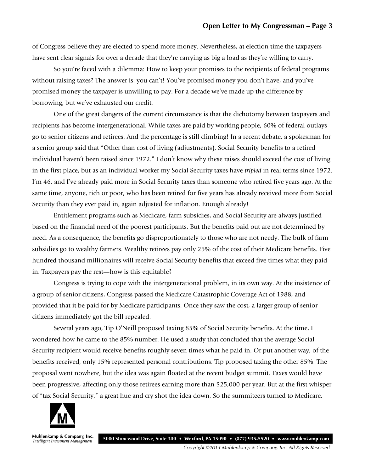of Congress believe they are elected to spend more money. Nevertheless, at election time the taxpayers have sent clear signals for over a decade that they're carrying as big a load as they're willing to carry.

So you're faced with a dilemma: How to keep your promises to the recipients of federal programs without raising taxes? The answer is: you can't! You've promised money you don't have, and you've promised money the taxpayer is unwilling to pay. For a decade we've made up the difference by borrowing, but we've exhausted our credit.

One of the great dangers of the current circumstance is that the dichotomy between taxpayers and recipients has become intergenerational. While taxes are paid by working people, 60% of federal outlays go to senior citizens and retirees. And the percentage is still climbing! In a recent debate, a spokesman for a senior group said that "Other than cost of living (adjustments), Social Security benefits to a retired individual haven't been raised since 1972." I don't know why these raises should exceed the cost of living in the first place, but as an individual worker my Social Security taxes have *tripled* in real terms since 1972. I'm 46, and I've already paid more in Social Security taxes than someone who retired five years ago. At the same time, anyone, rich or poor, who has been retired for five years has already received more from Social Security than they ever paid in, again adjusted for inflation. Enough already!

Entitlement programs such as Medicare, farm subsidies, and Social Security are always justified based on the financial need of the poorest participants. But the benefits paid out are not determined by need. As a consequence, the benefits go disproportionately to those who are not needy. The bulk of farm subsidies go to wealthy farmers. Wealthy retirees pay only 25% of the cost of their Medicare benefits. Five hundred thousand millionaires will receive Social Security benefits that exceed five times what they paid in. Taxpayers pay the rest—how is this equitable?

Congress is trying to cope with the intergenerational problem, in its own way. At the insistence of a group of senior citizens, Congress passed the Medicare Catastrophic Coverage Act of 1988, and provided that it be paid for by Medicare participants. Once they saw the cost, a larger group of senior citizens immediately got the bill repealed.

Several years ago, Tip O'Neill proposed taxing 85% of Social Security benefits. At the time, I wondered how he came to the 85% number. He used a study that concluded that the average Social Security recipient would receive benefits roughly seven times what he paid in. Or put another way, of the benefits received, only 15% represented personal contributions. Tip proposed taxing the other 85%. The proposal went nowhere, but the idea was again floated at the recent budget summit. Taxes would have been progressive, affecting only those retirees earning more than \$25,000 per year. But at the first whisper of "tax Social Security," a great hue and cry shot the idea down. So the summiteers turned to Medicare.



Muhlenkamp & Company, Inc. Intelligent Investment Management

5000 Stonewood Drive, Suite 300 • Wexford, PA 15090 • (877) 935-5520 • www.muhlenkamp.com